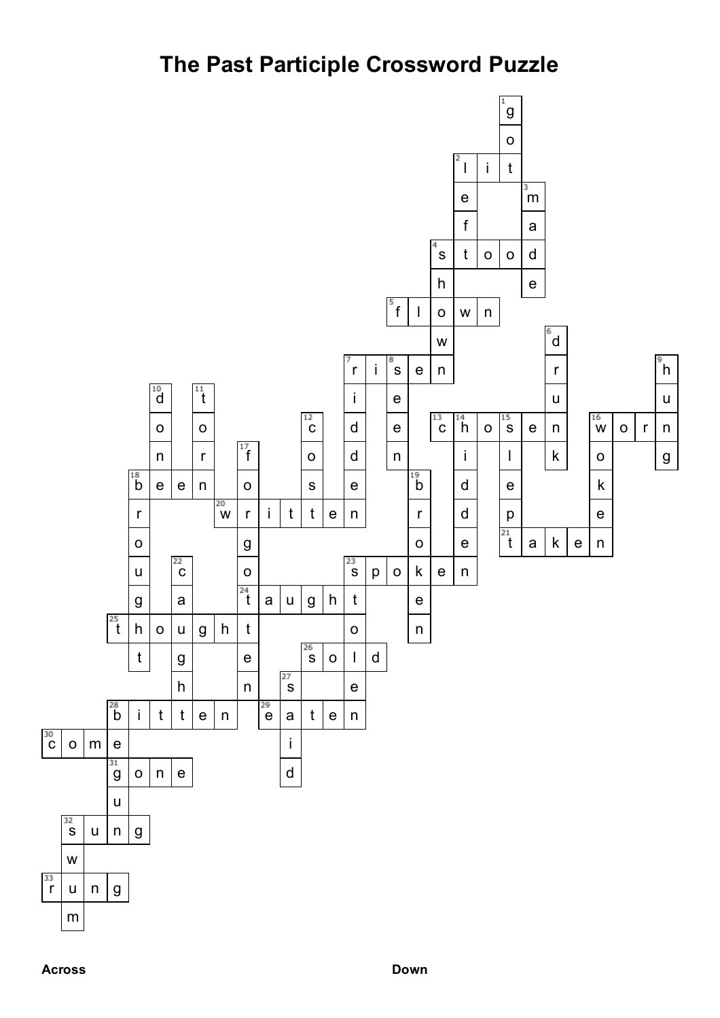## **The Past Participle Crossword Puzzle**